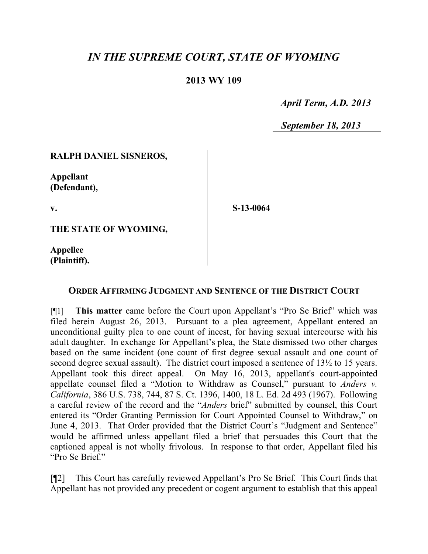# *IN THE SUPREME COURT, STATE OF WYOMING*

## **2013 WY 109**

 *April Term, A.D. 2013*

 *September 18, 2013*

#### **RALPH DANIEL SISNEROS,**

**Appellant (Defendant),**

**v.**

**S-13-0064**

**THE STATE OF WYOMING,**

**Appellee (Plaintiff).**

#### **ORDER AFFIRMING JUDGMENT AND SENTENCE OF THE DISTRICT COURT**

[¶1] **This matter** came before the Court upon Appellant's "Pro Se Brief" which was filed herein August 26, 2013. Pursuant to a plea agreement, Appellant entered an unconditional guilty plea to one count of incest, for having sexual intercourse with his adult daughter. In exchange for Appellant's plea, the State dismissed two other charges based on the same incident (one count of first degree sexual assault and one count of second degree sexual assault). The district court imposed a sentence of 13½ to 15 years. Appellant took this direct appeal. On May 16, 2013, appellant's court-appointed appellate counsel filed a "Motion to Withdraw as Counsel," pursuant to *Anders v. California*, 386 U.S. 738, 744, 87 S. Ct. 1396, 1400, 18 L. Ed. 2d 493 (1967). Following a careful review of the record and the "*Anders* brief" submitted by counsel, this Court entered its "Order Granting Permission for Court Appointed Counsel to Withdraw," on June 4, 2013. That Order provided that the District Court's "Judgment and Sentence" would be affirmed unless appellant filed a brief that persuades this Court that the captioned appeal is not wholly frivolous. In response to that order, Appellant filed his "Pro Se Brief."

[¶2] This Court has carefully reviewed Appellant's Pro Se Brief. This Court finds that Appellant has not provided any precedent or cogent argument to establish that this appeal